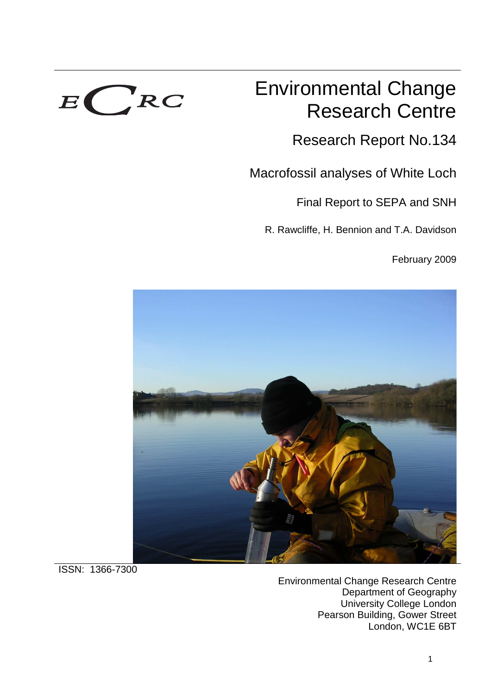

# Environmental Change Research Centre

Research Report No.134

Macrofossil analyses of White Loch

Final Report to SEPA and SNH

R. Rawcliffe, H. Bennion and T.A. Davidson

February 2009



ISSN: 1366-7300

Environmental Change Research Centre Department of Geography University College London Pearson Building, Gower Street London, WC1E 6BT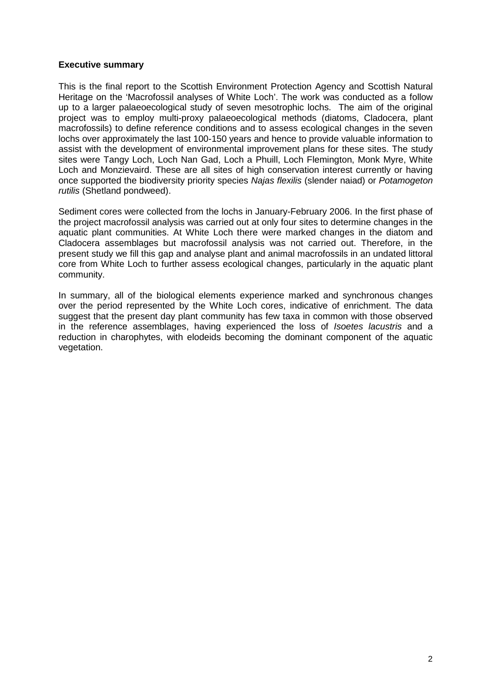#### **Executive summary**

This is the final report to the Scottish Environment Protection Agency and Scottish Natural Heritage on the 'Macrofossil analyses of White Loch'. The work was conducted as a follow up to a larger palaeoecological study of seven mesotrophic lochs. The aim of the original project was to employ multi-proxy palaeoecological methods (diatoms, Cladocera, plant macrofossils) to define reference conditions and to assess ecological changes in the seven lochs over approximately the last 100-150 years and hence to provide valuable information to assist with the development of environmental improvement plans for these sites. The study sites were Tangy Loch, Loch Nan Gad, Loch a Phuill, Loch Flemington, Monk Myre, White Loch and Monzievaird. These are all sites of high conservation interest currently or having once supported the biodiversity priority species Najas flexilis (slender naiad) or Potamogeton rutilis (Shetland pondweed).

Sediment cores were collected from the lochs in January-February 2006. In the first phase of the project macrofossil analysis was carried out at only four sites to determine changes in the aquatic plant communities. At White Loch there were marked changes in the diatom and Cladocera assemblages but macrofossil analysis was not carried out. Therefore, in the present study we fill this gap and analyse plant and animal macrofossils in an undated littoral core from White Loch to further assess ecological changes, particularly in the aquatic plant community.

In summary, all of the biological elements experience marked and synchronous changes over the period represented by the White Loch cores, indicative of enrichment. The data suggest that the present day plant community has few taxa in common with those observed in the reference assemblages, having experienced the loss of Isoetes lacustris and a reduction in charophytes, with elodeids becoming the dominant component of the aquatic vegetation.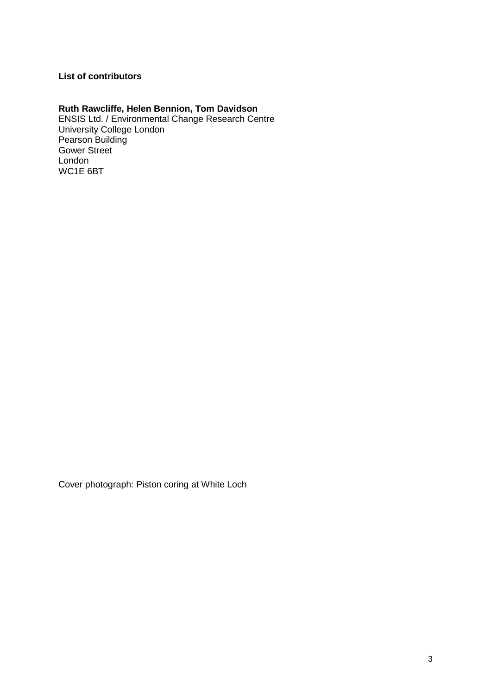# **List of contributors**

# **Ruth Rawcliffe, Helen Bennion, Tom Davidson**

ENSIS Ltd. / Environmental Change Research Centre University College London Pearson Building Gower Street London WC1E 6BT

Cover photograph: Piston coring at White Loch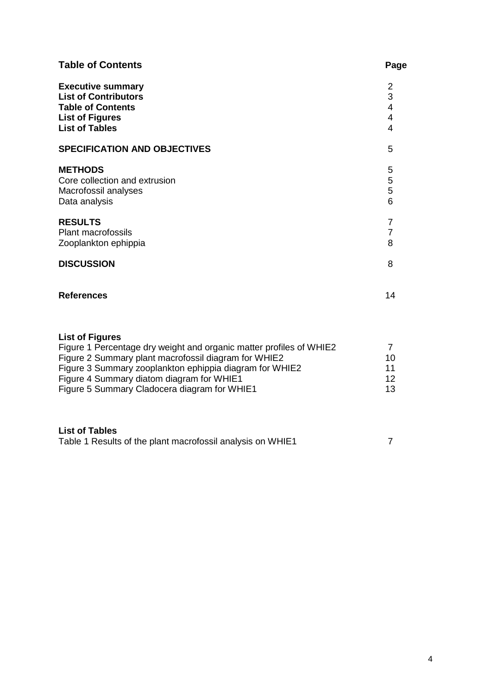| <b>Table of Contents</b>                                                                                                                                                                                                                                                                                      | Page                                                         |
|---------------------------------------------------------------------------------------------------------------------------------------------------------------------------------------------------------------------------------------------------------------------------------------------------------------|--------------------------------------------------------------|
| <b>Executive summary</b><br><b>List of Contributors</b><br><b>Table of Contents</b><br><b>List of Figures</b><br><b>List of Tables</b>                                                                                                                                                                        | 2<br>3<br>$\overline{4}$<br>$\overline{4}$<br>$\overline{4}$ |
| <b>SPECIFICATION AND OBJECTIVES</b>                                                                                                                                                                                                                                                                           | 5                                                            |
| <b>METHODS</b><br>Core collection and extrusion<br>Macrofossil analyses<br>Data analysis                                                                                                                                                                                                                      | 5<br>5<br>5<br>6                                             |
| <b>RESULTS</b><br><b>Plant macrofossils</b><br>Zooplankton ephippia                                                                                                                                                                                                                                           | $\overline{7}$<br>$\overline{7}$<br>8                        |
| <b>DISCUSSION</b>                                                                                                                                                                                                                                                                                             | 8                                                            |
| <b>References</b>                                                                                                                                                                                                                                                                                             | 14                                                           |
| <b>List of Figures</b><br>Figure 1 Percentage dry weight and organic matter profiles of WHIE2<br>Figure 2 Summary plant macrofossil diagram for WHIE2<br>Figure 3 Summary zooplankton ephippia diagram for WHIE2<br>Figure 4 Summary diatom diagram for WHIE1<br>Figure 5 Summary Cladocera diagram for WHIE1 | $\overline{7}$<br>10<br>11<br>12 <sup>2</sup><br>13          |
| <b>List of Tables</b><br>Table 1 Results of the plant macrofossil analysis on WHIE1                                                                                                                                                                                                                           | $\overline{7}$                                               |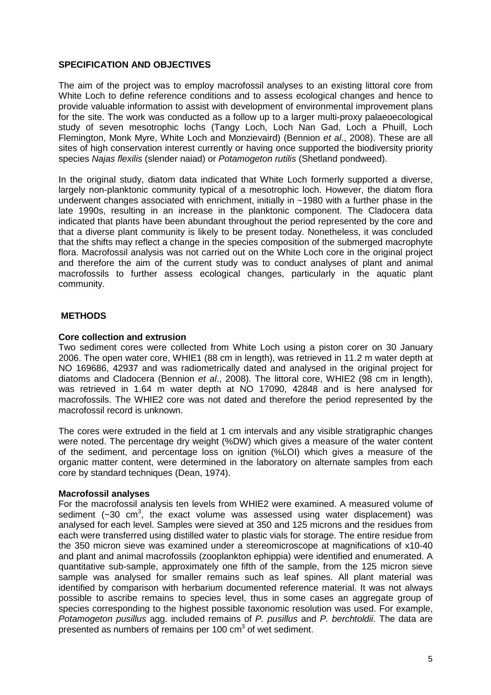#### **SPECIFICATION AND OBJECTIVES**

The aim of the project was to employ macrofossil analyses to an existing littoral core from White Loch to define reference conditions and to assess ecological changes and hence to provide valuable information to assist with development of environmental improvement plans for the site. The work was conducted as a follow up to a larger multi-proxy palaeoecological study of seven mesotrophic lochs (Tangy Loch, Loch Nan Gad, Loch a Phuill, Loch Flemington, Monk Myre, White Loch and Monzievaird) (Bennion et al., 2008). These are all sites of high conservation interest currently or having once supported the biodiversity priority species Najas flexilis (slender naiad) or Potamogeton rutilis (Shetland pondweed).

In the original study, diatom data indicated that White Loch formerly supported a diverse, largely non-planktonic community typical of a mesotrophic loch. However, the diatom flora underwent changes associated with enrichment, initially in ~1980 with a further phase in the late 1990s, resulting in an increase in the planktonic component. The Cladocera data indicated that plants have been abundant throughout the period represented by the core and that a diverse plant community is likely to be present today. Nonetheless, it was concluded that the shifts may reflect a change in the species composition of the submerged macrophyte flora. Macrofossil analysis was not carried out on the White Loch core in the original project and therefore the aim of the current study was to conduct analyses of plant and animal macrofossils to further assess ecological changes, particularly in the aquatic plant community.

#### **METHODS**

#### **Core collection and extrusion**

Two sediment cores were collected from White Loch using a piston corer on 30 January 2006. The open water core, WHIE1 (88 cm in length), was retrieved in 11.2 m water depth at NO 169686, 42937 and was radiometrically dated and analysed in the original project for diatoms and Cladocera (Bennion et al., 2008). The littoral core, WHIE2 (98 cm in length), was retrieved in 1.64 m water depth at NO 17090, 42848 and is here analysed for macrofossils. The WHIE2 core was not dated and therefore the period represented by the macrofossil record is unknown.

The cores were extruded in the field at 1 cm intervals and any visible stratigraphic changes were noted. The percentage dry weight (%DW) which gives a measure of the water content of the sediment, and percentage loss on ignition (%LOI) which gives a measure of the organic matter content, were determined in the laboratory on alternate samples from each core by standard techniques (Dean, 1974).

#### **Macrofossil analyses**

For the macrofossil analysis ten levels from WHIE2 were examined. A measured volume of sediment ( $\sim$ 30 cm<sup>3</sup>, the exact volume was assessed using water displacement) was analysed for each level. Samples were sieved at 350 and 125 microns and the residues from each were transferred using distilled water to plastic vials for storage. The entire residue from the 350 micron sieve was examined under a stereomicroscope at magnifications of x10-40 and plant and animal macrofossils (zooplankton ephippia) were identified and enumerated. A quantitative sub-sample, approximately one fifth of the sample, from the 125 micron sieve sample was analysed for smaller remains such as leaf spines. All plant material was identified by comparison with herbarium documented reference material. It was not always possible to ascribe remains to species level, thus in some cases an aggregate group of species corresponding to the highest possible taxonomic resolution was used. For example, Potamogeton pusillus agg. included remains of P. pusillus and P. berchtoldii. The data are presented as numbers of remains per 100  $\text{cm}^3$  of wet sediment.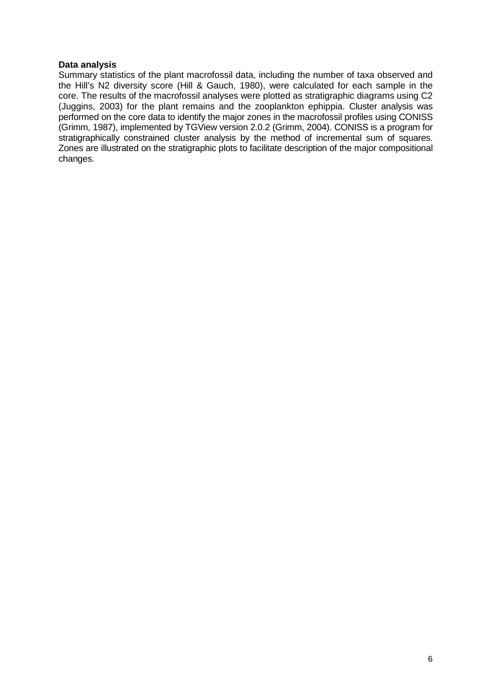#### **Data analysis**

Summary statistics of the plant macrofossil data, including the number of taxa observed and the Hill's N2 diversity score (Hill & Gauch, 1980), were calculated for each sample in the core. The results of the macrofossil analyses were plotted as stratigraphic diagrams using C2 (Juggins, 2003) for the plant remains and the zooplankton ephippia. Cluster analysis was performed on the core data to identify the major zones in the macrofossil profiles using CONISS (Grimm, 1987), implemented by TGView version 2.0.2 (Grimm, 2004). CONISS is a program for stratigraphically constrained cluster analysis by the method of incremental sum of squares. Zones are illustrated on the stratigraphic plots to facilitate description of the major compositional changes.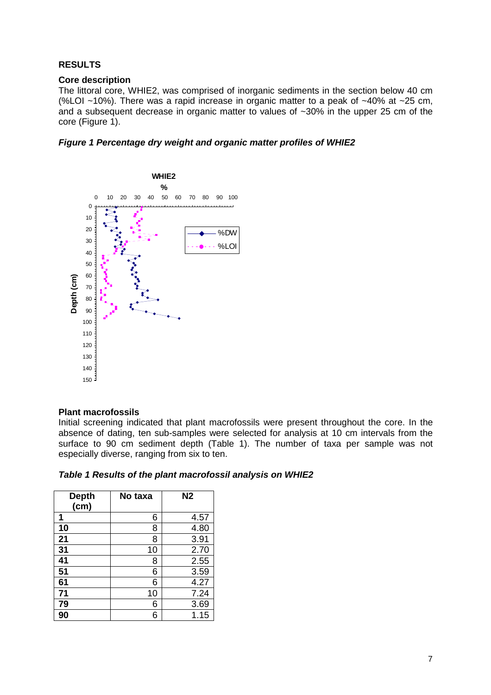# **RESULTS**

#### **Core description**

The littoral core, WHIE2, was comprised of inorganic sediments in the section below 40 cm (%LOI ~10%). There was a rapid increase in organic matter to a peak of ~40% at ~25 cm, and a subsequent decrease in organic matter to values of ~30% in the upper 25 cm of the core (Figure 1).

**Figure 1 Percentage dry weight and organic matter profiles of WHIE2** 



#### **Plant macrofossils**

Initial screening indicated that plant macrofossils were present throughout the core. In the absence of dating, ten sub-samples were selected for analysis at 10 cm intervals from the surface to 90 cm sediment depth (Table 1). The number of taxa per sample was not especially diverse, ranging from six to ten.

| Table 1 Results of the plant macrofossil analysis on WHIE2 |
|------------------------------------------------------------|
|------------------------------------------------------------|

| <b>Depth</b><br>(cm) | No taxa | N <sub>2</sub> |
|----------------------|---------|----------------|
| 1                    | 6       | 4.57           |
| 10                   | 8       | 4.80           |
| 21                   | 8       | 3.91           |
| 31                   | 10      | 2.70           |
| 41                   | 8       | 2.55           |
| 51                   | 6       | 3.59           |
| 61                   | 6       | 4.27           |
| 71                   | 10      | 7.24           |
| 79                   | 6       | 3.69           |
| 90                   | 6       | 1.15           |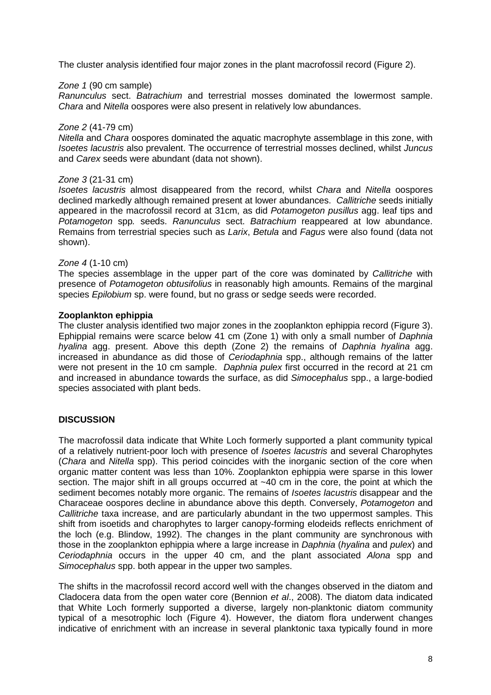The cluster analysis identified four major zones in the plant macrofossil record (Figure 2).

#### Zone 1 (90 cm sample)

Ranunculus sect. Batrachium and terrestrial mosses dominated the lowermost sample. Chara and Nitella oospores were also present in relatively low abundances.

#### Zone 2 (41-79 cm)

Nitella and Chara oospores dominated the aquatic macrophyte assemblage in this zone, with Isoetes lacustris also prevalent. The occurrence of terrestrial mosses declined, whilst Juncus and Carex seeds were abundant (data not shown).

#### Zone 3 (21-31 cm)

Isoetes lacustris almost disappeared from the record, whilst Chara and Nitella oospores declined markedly although remained present at lower abundances. Callitriche seeds initially appeared in the macrofossil record at 31cm, as did Potamogeton pusillus agg. leaf tips and Potamogeton spp. seeds. Ranunculus sect. Batrachium reappeared at low abundance. Remains from terrestrial species such as *Larix, Betula* and Fagus were also found (data not shown).

#### Zone 4 (1-10 cm)

The species assemblage in the upper part of the core was dominated by Callitriche with presence of Potamogeton obtusifolius in reasonably high amounts. Remains of the marginal species *Epilobium* sp. were found, but no grass or sedge seeds were recorded.

#### **Zooplankton ephippia**

The cluster analysis identified two major zones in the zooplankton ephippia record (Figure 3). Ephippial remains were scarce below 41 cm (Zone 1) with only a small number of Daphnia hyalina agg. present. Above this depth (Zone 2) the remains of Daphnia hyalina agg. increased in abundance as did those of Ceriodaphnia spp., although remains of the latter were not present in the 10 cm sample. Daphnia pulex first occurred in the record at 21 cm and increased in abundance towards the surface, as did Simocephalus spp., a large-bodied species associated with plant beds.

#### **DISCUSSION**

The macrofossil data indicate that White Loch formerly supported a plant community typical of a relatively nutrient-poor loch with presence of Isoetes lacustris and several Charophytes (Chara and Nitella spp). This period coincides with the inorganic section of the core when organic matter content was less than 10%. Zooplankton ephippia were sparse in this lower section. The major shift in all groups occurred at ~40 cm in the core, the point at which the sediment becomes notably more organic. The remains of *Isoetes lacustris* disappear and the Characeae oospores decline in abundance above this depth. Conversely, Potamogeton and Callitriche taxa increase, and are particularly abundant in the two uppermost samples. This shift from isoetids and charophytes to larger canopy-forming elodeids reflects enrichment of the loch (e.g. Blindow, 1992). The changes in the plant community are synchronous with those in the zooplankton ephippia where a large increase in Daphnia (hyalina and pulex) and Ceriodaphnia occurs in the upper 40 cm, and the plant associated Alona spp and Simocephalus spp. both appear in the upper two samples.

The shifts in the macrofossil record accord well with the changes observed in the diatom and Cladocera data from the open water core (Bennion et al., 2008). The diatom data indicated that White Loch formerly supported a diverse, largely non-planktonic diatom community typical of a mesotrophic loch (Figure 4). However, the diatom flora underwent changes indicative of enrichment with an increase in several planktonic taxa typically found in more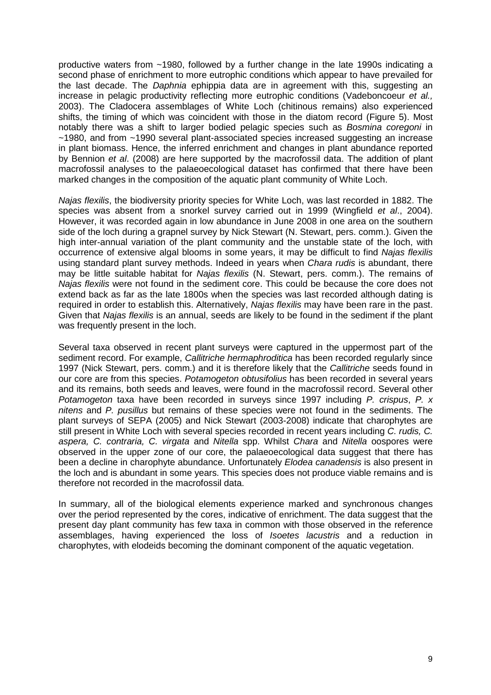productive waters from ~1980, followed by a further change in the late 1990s indicating a second phase of enrichment to more eutrophic conditions which appear to have prevailed for the last decade. The *Daphnia* ephippia data are in agreement with this, suggesting an increase in pelagic productivity reflecting more eutrophic conditions (Vadeboncoeur et al., 2003). The Cladocera assemblages of White Loch (chitinous remains) also experienced shifts, the timing of which was coincident with those in the diatom record (Figure 5). Most notably there was a shift to larger bodied pelagic species such as Bosmina coregoni in ~1980, and from ~1990 several plant-associated species increased suggesting an increase in plant biomass. Hence, the inferred enrichment and changes in plant abundance reported by Bennion et al. (2008) are here supported by the macrofossil data. The addition of plant macrofossil analyses to the palaeoecological dataset has confirmed that there have been marked changes in the composition of the aquatic plant community of White Loch.

Najas flexilis, the biodiversity priority species for White Loch, was last recorded in 1882. The species was absent from a snorkel survey carried out in 1999 (Wingfield *et al.*, 2004). However, it was recorded again in low abundance in June 2008 in one area on the southern side of the loch during a grapnel survey by Nick Stewart (N. Stewart, pers. comm.). Given the high inter-annual variation of the plant community and the unstable state of the loch, with occurrence of extensive algal blooms in some years, it may be difficult to find Najas flexilis using standard plant survey methods. Indeed in years when Chara rudis is abundant, there may be little suitable habitat for Najas flexilis (N. Stewart, pers. comm.). The remains of Najas flexilis were not found in the sediment core. This could be because the core does not extend back as far as the late 1800s when the species was last recorded although dating is required in order to establish this. Alternatively, Najas flexilis may have been rare in the past. Given that Najas flexilis is an annual, seeds are likely to be found in the sediment if the plant was frequently present in the loch.

Several taxa observed in recent plant surveys were captured in the uppermost part of the sediment record. For example, *Callitriche hermaphroditica* has been recorded regularly since 1997 (Nick Stewart, pers. comm.) and it is therefore likely that the Callitriche seeds found in our core are from this species. Potamogeton obtusifolius has been recorded in several years and its remains, both seeds and leaves, were found in the macrofossil record. Several other Potamogeton taxa have been recorded in surveys since 1997 including P. crispus, P. x nitens and P. pusillus but remains of these species were not found in the sediments. The plant surveys of SEPA (2005) and Nick Stewart (2003-2008) indicate that charophytes are still present in White Loch with several species recorded in recent vears including C. rudis, C. aspera, C. contraria, C. virgata and Nitella spp. Whilst Chara and Nitella oospores were observed in the upper zone of our core, the palaeoecological data suggest that there has been a decline in charophyte abundance. Unfortunately *Elodea canadensis* is also present in the loch and is abundant in some years. This species does not produce viable remains and is therefore not recorded in the macrofossil data.

In summary, all of the biological elements experience marked and synchronous changes over the period represented by the cores, indicative of enrichment. The data suggest that the present day plant community has few taxa in common with those observed in the reference assemblages, having experienced the loss of Isoetes lacustris and a reduction in charophytes, with elodeids becoming the dominant component of the aquatic vegetation.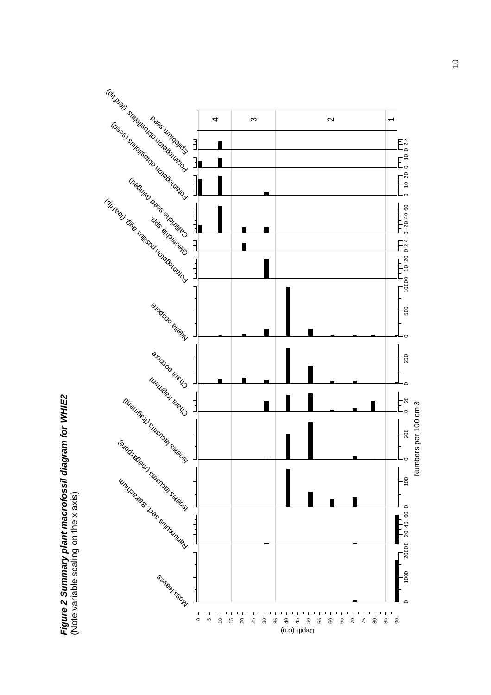

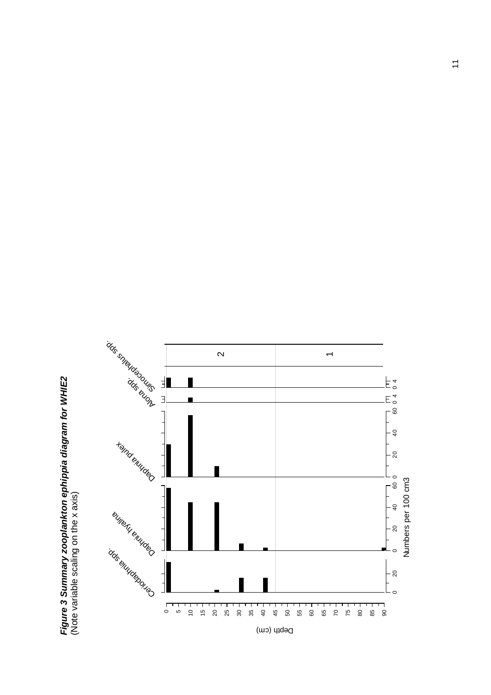Figure 3 Summary zooplankton ephippia diagram for WHIE2<br>(Note variable scaling on the x axis) **Figure 3 Summary zooplankton ephippia diagram for WHIE2**  (Note variable scaling on the x axis)

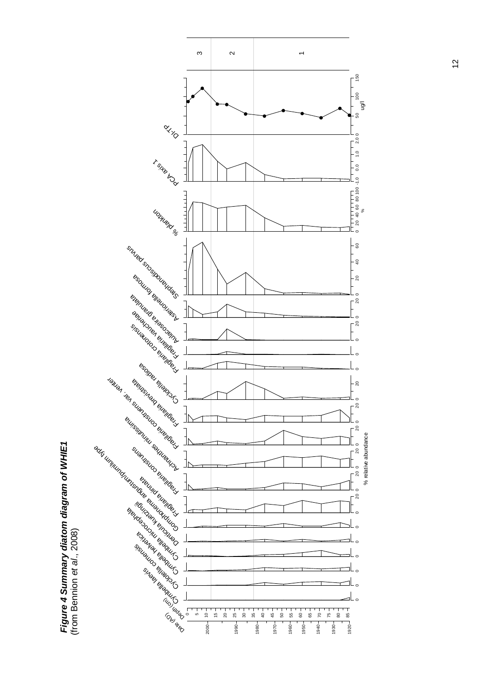

 **Figure 4 Summary diatom diagram of WHIE1**  Figure 4 Summary diatom diagram of WHIE1<br>(from Bennion et al., 2008)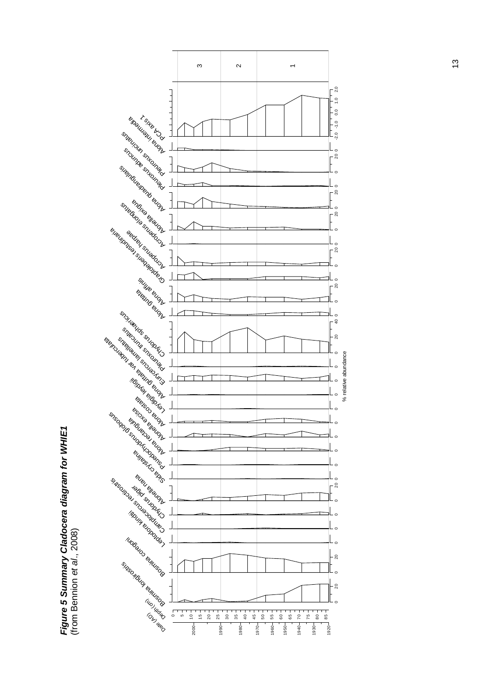